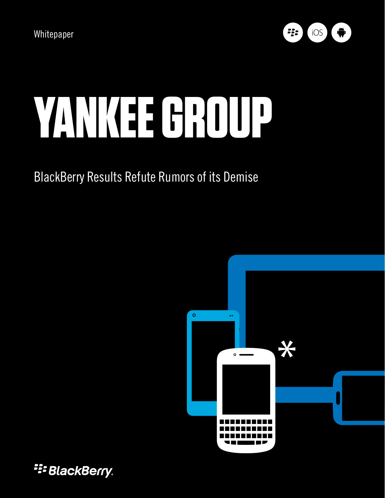

# **Yankee group**

### BlackBerry Results Refute Rumors of its Demise



**E: BlackBerry.**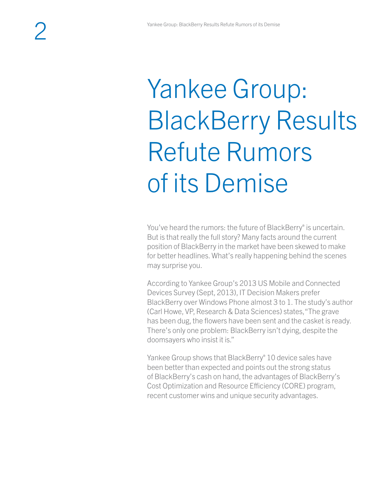## Yankee Group: BlackBerry Results Refute Rumors of its Demise

You've heard the rumors: the future of BlackBerry® is uncertain. But is that really the full story? Many facts around the current position of BlackBerry in the market have been skewed to make for better headlines. What's really happening behind the scenes may surprise you.

According to Yankee Group's 2013 US Mobile and Connected Devices Survey (Sept, 2013), IT Decision Makers prefer BlackBerry over Windows Phone almost 3 to 1. The study's author (Carl Howe, VP, Research & Data Sciences) states, "The grave has been dug, the flowers have been sent and the casket is ready. There's only one problem: BlackBerry isn't dying, despite the doomsayers who insist it is."

Yankee Group shows that BlackBerry® 10 device sales have been better than expected and points out the strong status of BlackBerry's cash on hand, the advantages of BlackBerry's Cost Optimization and Resource Efficiency (CORE) program, recent customer wins and unique security advantages.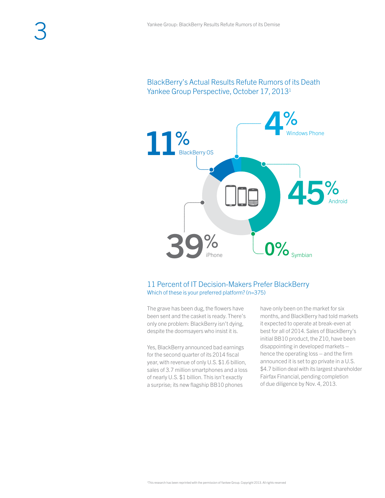

#### 11 Percent of IT Decision-Makers Prefer BlackBerry Which of these is your preferred platform? (n=375)

The grave has been dug, the flowers have been sent and the casket is ready. There's only one problem: BlackBerry isn't dying, despite the doomsayers who insist it is.

Yes, BlackBerry announced bad earnings for the second quarter of its 2014 fiscal year, with revenue of only U.S. \$1.6 billion, sales of 3.7 million smartphones and a loss of nearly U.S. \$1 billion. This isn't exactly a surprise; its new flagship BB10 phones

have only been on the market for six months, and BlackBerry had told markets it expected to operate at break-even at best for all of 2014. Sales of BlackBerry's initial BB10 product, the Z10, have been disappointing in developed markets – hence the operating loss – and the firm announced it is set to go private in a U.S. \$4.7 billion deal with its largest shareholder Fairfax Financial, pending completion of due diligence by Nov. 4, 2013.